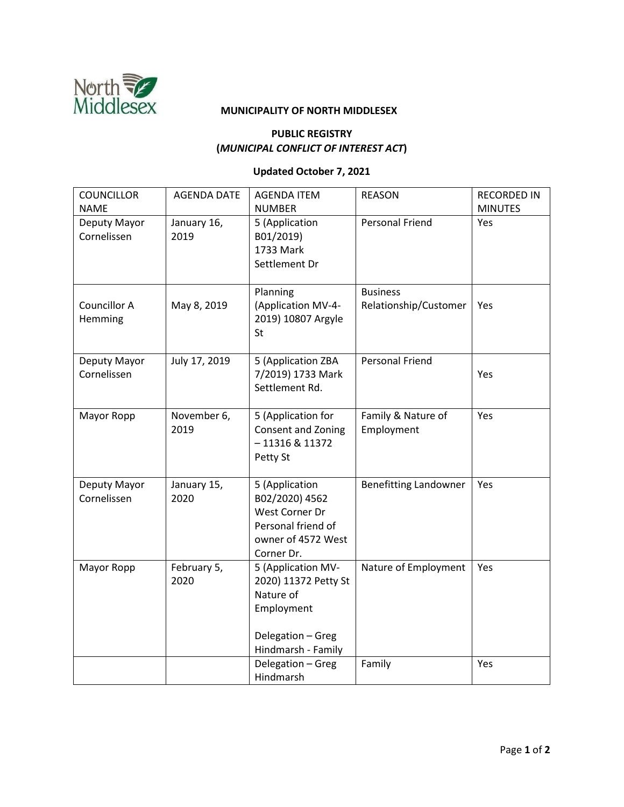

## **PUBLIC REGISTRY (***MUNICIPAL CONFLICT OF INTEREST ACT***)**

## **Updated October 7, 2021**

| <b>COUNCILLOR</b><br><b>NAME</b> | <b>AGENDA DATE</b>  | <b>AGENDA ITEM</b><br><b>NUMBER</b>                                                                              | <b>REASON</b>                            | <b>RECORDED IN</b><br><b>MINUTES</b> |
|----------------------------------|---------------------|------------------------------------------------------------------------------------------------------------------|------------------------------------------|--------------------------------------|
| Deputy Mayor<br>Cornelissen      | January 16,<br>2019 | 5 (Application<br>B01/2019)<br>1733 Mark<br>Settlement Dr                                                        | <b>Personal Friend</b>                   | Yes                                  |
| Councillor A<br>Hemming          | May 8, 2019         | Planning<br>(Application MV-4-<br>2019) 10807 Argyle<br>St                                                       | <b>Business</b><br>Relationship/Customer | Yes                                  |
| Deputy Mayor<br>Cornelissen      | July 17, 2019       | 5 (Application ZBA<br>7/2019) 1733 Mark<br>Settlement Rd.                                                        | <b>Personal Friend</b>                   | Yes                                  |
| Mayor Ropp                       | November 6,<br>2019 | 5 (Application for<br>Consent and Zoning<br>$-11316$ & 11372<br>Petty St                                         | Family & Nature of<br>Employment         | Yes                                  |
| Deputy Mayor<br>Cornelissen      | January 15,<br>2020 | 5 (Application<br>B02/2020) 4562<br>West Corner Dr<br>Personal friend of<br>owner of 4572 West<br>Corner Dr.     | <b>Benefitting Landowner</b>             | Yes                                  |
| Mayor Ropp                       | February 5,<br>2020 | 5 (Application MV-<br>2020) 11372 Petty St<br>Nature of<br>Employment<br>Delegation - Greg<br>Hindmarsh - Family | Nature of Employment                     | Yes                                  |
|                                  |                     | Delegation - Greg<br>Hindmarsh                                                                                   | Family                                   | Yes                                  |